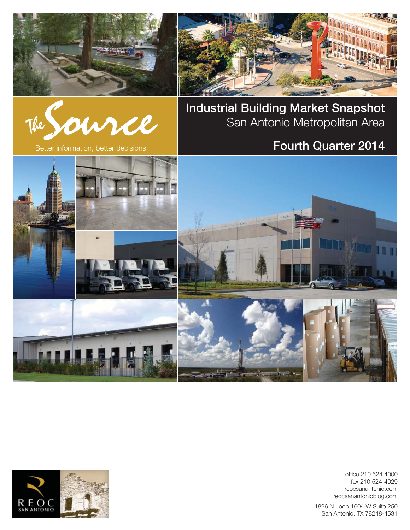





**Industrial Building Market Snapshot** San Antonio Metropolitan Area

# Better information, better decisions. **Fourth Quarter 2014**



office 210 524 4000 fax 210 524-4029 reocsanantonio.com reocsanantonioblog.com

1826 N Loop 1604 W Suite 250 San Antonio, TX 78248-4531

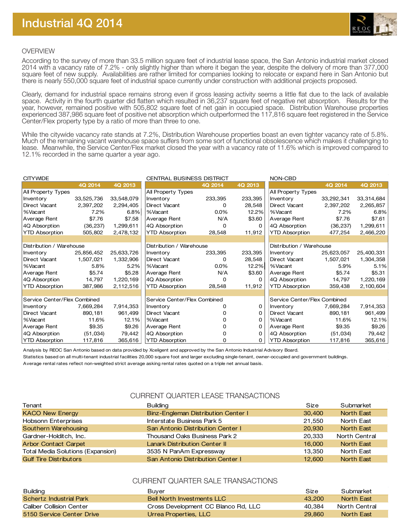

## OVERVIEW

According to the survey of more than 33.5 million square feet of industrial lease space, the San Antonio industrial market closed 2014 with a vacancy rate of 7.2% - only slightly higher than where it began the year, despite the delivery of more than 377,000 square feet of new supply. Availabilities are rather limited for companies looking to relocate or expand here in San Antonio but there is nearly 550,000 square feet of industrial space currently under construction with additional projects proposed.

Clearly, demand for industrial space remains strong even if gross leasing activity seems a little flat due to the lack of available space. Activity in the fourth quarter did flatten which resulted in 36,237 square feet of negative net absorption. Results for the year, however, remained positive with 505,802 square feet of net gain in occupied space. Distribution Warehouse properties experienced 387,986 square feet of positive net absorption which outperformed the 117,816 square feet registered in the Service Center/Flex property type by a ratio of more than three to one.

While the citywide vacancy rate stands at 7.2%, Distribution Warehouse properties boast an even tighter vacancy rate of 5.8%. Much of the remaining vacant warehouse space suffers from some sort of functional obsolescence which makes it challenging to lease. Meanwhile, the Service Center/Flex market closed the year with a vacancy rate of 11.6% which is improved compared to 12.1% recorded in the same quarter a year ago.

| <b>CITYWIDE</b>              |            |            | <b>CENTRAL BUSINESS DISTRICT</b> |              | NON-CBD      |                              |            |            |
|------------------------------|------------|------------|----------------------------------|--------------|--------------|------------------------------|------------|------------|
|                              | 4Q 2014    | 4Q 2013    |                                  | 4Q 2014      | 4Q 2013      |                              | 4Q 2014    | 4Q 2013    |
| All Property Types           |            |            | All Property Types               |              |              | All Property Types           |            |            |
| Inventory                    | 33,525,736 | 33,548,079 | Inventory                        | 233,395      | 233,395      | Inventory                    | 33,292,341 | 33,314,684 |
| Direct Vacant                | 2,397,202  | 2,294,405  | Direct Vacant                    | 0            | 28,548       | Direct Vacant                | 2,397,202  | 2,265,857  |
| %Vacant                      | 7.2%       | 6.8%       | %Vacant                          | $0.0\%$      | 12.2%        | %Vacant                      | 7.2%       | 6.8%       |
| Average Rent                 | \$7.76     | \$7.58     | Average Rent                     | N/A          | \$3.60       | Average Rent                 | \$7.76     | \$7.61     |
| 4Q Absorption                | (36, 237)  | 1,299,611  | 4Q Absorption                    | 0            | <sup>0</sup> | 4Q Absorption                | (36, 237)  | 1,299,611  |
| <b>YTD Absorption</b>        | 505,802    | 2,478,132  | <b>YTD Absorption</b>            | 28,548       | 11,912       | <b>YTD Absorption</b>        | 477,254    | 2,466,220  |
|                              |            |            |                                  |              |              |                              |            |            |
| Distribution / Warehouse     |            |            | Distribution / Warehouse         |              |              | Distribution / Warehouse     |            |            |
| Inventory                    | 25,856,452 | 25,633,726 | Inventory                        | 233,395      | 233,395      | Inventory                    | 25,623,057 | 25,400,331 |
| Direct Vacant                | 1,507,021  | 1,332,906  | Direct Vacant                    | 0            | 28,548       | Direct Vacant                | 1,507,021  | 1,304,358  |
| %Vacant                      | 5.8%       | 5.2%       | %Vacant                          | $0.0\%$      | 12.2%        | %Vacant                      | 5.9%       | 5.1%       |
| Average Rent                 | \$5.74     | \$5.28     | Average Rent                     | N/A          | \$3.60       | Average Rent                 | \$5.74     | \$5.31     |
| 4Q Absorption                | 14,797     | 1,220,169  | 4Q Absorption                    | 0            | <sup>0</sup> | 4Q Absorption                | 14,797     | 1,220,169  |
| <b>YTD Absorption</b>        | 387,986    | 2,112,516  | <b>YTD Absorption</b>            | 28,548       | 11,912       | <b>YTD Absorption</b>        | 359,438    | 2,100,604  |
|                              |            |            |                                  |              |              |                              |            |            |
| Service Center/Flex Combined |            |            | Service Center/Flex Combined     |              |              | Service Center/Flex Combined |            |            |
| Inventory                    | 7,669,284  | 7,914,353  | Inventory                        | 0            | 0            | Inventory                    | 7,669,284  | 7,914,353  |
| Direct Vacant                | 890,181    | 961,499    | <b>Direct Vacant</b>             | 0            | 0            | Direct Vacant                | 890,181    | 961,499    |
| %Vacant                      | 11.6%      | 12.1%      | %Vacant                          | 0            | 0            | %Vacant                      | 11.6%      | 12.1%      |
| Average Rent                 | \$9.35     | \$9.26     | Average Rent                     | <sup>0</sup> | 0            | Average Rent                 | \$9.35     | \$9.26     |
| 4Q Absorption                | (51, 034)  | 79,442     | 4Q Absorption                    | $\Omega$     | <sup>0</sup> | 4Q Absorption                | (51, 034)  | 79,442     |
| <b>YTD Absorption</b>        | 117,816    | 365,616    | <b>YTD Absorption</b>            | $\Omega$     | 0            | <b>YTD Absorption</b>        | 117,816    | 365,616    |

Analysis by REOC San Antonio based on data provided by Xceligent and approved by the San Antonio Industrial Advisory Board.

Statistics based on all multi-tenant industrial facilities 20,000 square foot and larger excluding single-tenant, owner-occupied and government buildings.

Average rental rates reflect non-weighted strict average asking rental rates quoted on a triple net annual basis.

## CURRENT QUARTER LEASE TRANSACTIONS

| Tenant                            | <b>Building</b>                      | Size   | Submarket         |
|-----------------------------------|--------------------------------------|--------|-------------------|
| <b>KACO New Energy</b>            | Binz-Engleman Distribution Center I  | 30,400 | <b>North East</b> |
| Hobsonn Enterprises               | Interstate Business Park 5           | 21.550 | North East        |
| Southern Warehousing              | San Antonio Distribution Center I    | 20,930 | <b>North East</b> |
| Gardner-Holditch, Inc.            | Thousand Oaks Business Park 2        | 20,333 | North Central     |
| <b>Arbor Contact Carpet</b>       | <b>Lanark Distribution Center II</b> | 16,000 | North East        |
| Total Media Solutions (Expansion) | 3535 N PanAm Expressway              | 13.350 | North East        |
| <b>Gulf Tire Distributors</b>     | San Antonio Distribution Center I    | 12,600 | <b>North East</b> |

## CURRENT OUARTER SALE TRANSACTIONS

| <b>Building</b>           | Buver                               | Size   | Submarket         |
|---------------------------|-------------------------------------|--------|-------------------|
| Schertz Industrial Park   | <b>Bell North Investments LLC</b>   | 43.200 | North East        |
| Caliber Collision Center  | Cross Development CC Blanco Rd, LLC | 40.384 | North Central     |
| 5150 Service Center Drive | Urrea Properties, LLC               | 29,860 | <b>North East</b> |